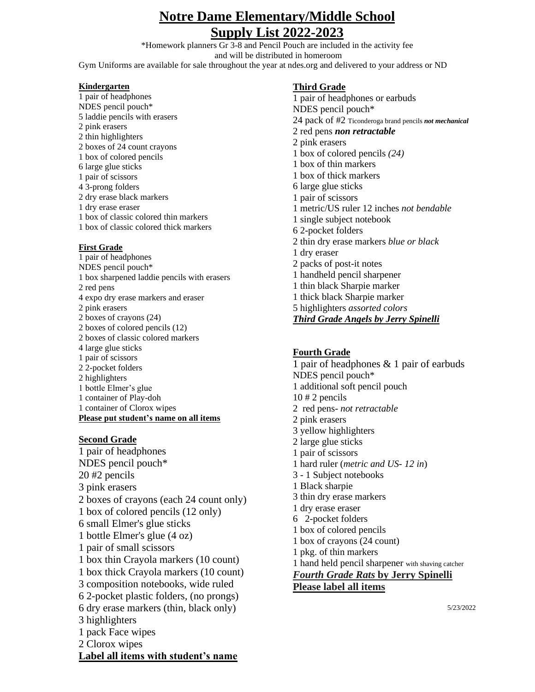# **Notre Dame Elementary/Middle School Supply List 2022-2023**

\*Homework planners Gr 3-8 and Pencil Pouch are included in the activity fee and will be distributed in homeroom Gym Uniforms are available for sale throughout the year at ndes.org and delivered to your address or ND

#### **Kindergarten**

1 pair of headphones NDES pencil pouch\* 5 laddie pencils with erasers 2 pink erasers 2 thin highlighters 2 boxes of 24 count crayons 1 box of colored pencils 6 large glue sticks 1 pair of scissors 4 3-prong folders 2 dry erase black markers 1 dry erase eraser 1 box of classic colored thin markers 1 box of classic colored thick markers

#### **First Grade**

1 pair of headphones NDES pencil pouch\* 1 box sharpened laddie pencils with erasers 2 red pens 4 expo dry erase markers and eraser 2 pink erasers 2 boxes of crayons (24) 2 boxes of colored pencils (12) 2 boxes of classic colored markers 4 large glue sticks 1 pair of scissors 2 2-pocket folders 2 highlighters 1 bottle Elmer's glue 1 container of Play-doh 1 container of Clorox wipes **Please put student's name on all items**

#### **Second Grade**

1 pair of headphones NDES pencil pouch\* 20 #2 pencils 3 pink erasers 2 boxes of crayons (each 24 count only) 1 box of colored pencils (12 only) 6 small Elmer's glue sticks 1 bottle Elmer's glue (4 oz) 1 pair of small scissors 1 box thin Crayola markers (10 count) 1 box thick Crayola markers (10 count) 3 composition notebooks, wide ruled 6 2-pocket plastic folders, (no prongs) 6 dry erase markers (thin, black only) 3 highlighters 1 pack Face wipes 2 Clorox wipes **Label all items with student's name**

### **Third Grade**

1 pair of headphones or earbuds NDES pencil pouch\* 24 pack of #2 Ticonderoga brand pencils *not mechanical* 2 red pens *non retractable* 2 pink erasers 1 box of colored pencils *(24)* 1 box of thin markers 1 box of thick markers 6 large glue sticks 1 pair of scissors 1 metric/US ruler 12 inches *not bendable* 1 single subject notebook 6 2-pocket folders 2 thin dry erase markers *blue or black* 1 dry eraser 2 packs of post-it notes 1 handheld pencil sharpener 1 thin black Sharpie marker 1 thick black Sharpie marker 5 highlighters *assorted colors Third Grade Angels by Jerry Spinelli*

#### **Fourth Grade**

1 pair of headphones & 1 pair of earbuds NDES pencil pouch\* 1 additional soft pencil pouch  $10 \# 2$  pencils 2 red pens- *not retractable* 2 pink erasers 3 yellow highlighters 2 large glue sticks 1 pair of scissors 1 hard ruler (*metric and US- 12 in*) 3 - 1 Subject notebooks 1 Black sharpie 3 thin dry erase markers 1 dry erase eraser 6 2-pocket folders 1 box of colored pencils 1 box of crayons (24 count) 1 pkg. of thin markers 1 hand held pencil sharpener with shaving catcher *Fourth Grade Rats* **by Jerry Spinelli Please label all items**